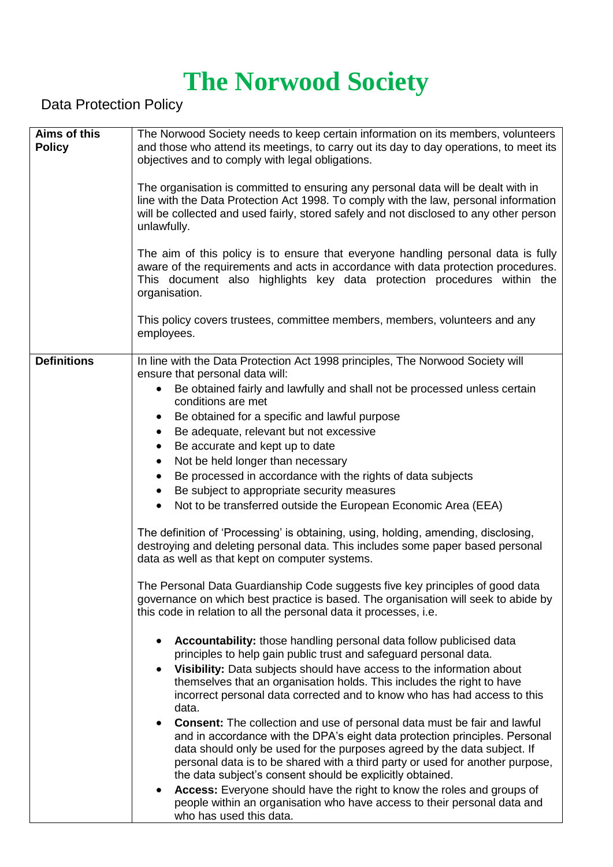## **The Norwood Society**

Data Protection Policy

| Aims of this<br><b>Policy</b> | The Norwood Society needs to keep certain information on its members, volunteers<br>and those who attend its meetings, to carry out its day to day operations, to meet its<br>objectives and to comply with legal obligations.<br>The organisation is committed to ensuring any personal data will be dealt with in<br>line with the Data Protection Act 1998. To comply with the law, personal information<br>will be collected and used fairly, stored safely and not disclosed to any other person<br>unlawfully.<br>The aim of this policy is to ensure that everyone handling personal data is fully<br>aware of the requirements and acts in accordance with data protection procedures.<br>This document also highlights key data protection procedures within the                                                                                                                                                                                                                                                                                                                                                                                                                                                                                                                                                                                                                                                                                                                                                                  |
|-------------------------------|--------------------------------------------------------------------------------------------------------------------------------------------------------------------------------------------------------------------------------------------------------------------------------------------------------------------------------------------------------------------------------------------------------------------------------------------------------------------------------------------------------------------------------------------------------------------------------------------------------------------------------------------------------------------------------------------------------------------------------------------------------------------------------------------------------------------------------------------------------------------------------------------------------------------------------------------------------------------------------------------------------------------------------------------------------------------------------------------------------------------------------------------------------------------------------------------------------------------------------------------------------------------------------------------------------------------------------------------------------------------------------------------------------------------------------------------------------------------------------------------------------------------------------------------|
|                               | organisation.<br>This policy covers trustees, committee members, members, volunteers and any<br>employees.                                                                                                                                                                                                                                                                                                                                                                                                                                                                                                                                                                                                                                                                                                                                                                                                                                                                                                                                                                                                                                                                                                                                                                                                                                                                                                                                                                                                                                 |
| <b>Definitions</b>            | In line with the Data Protection Act 1998 principles, The Norwood Society will<br>ensure that personal data will:<br>Be obtained fairly and lawfully and shall not be processed unless certain<br>$\bullet$<br>conditions are met<br>Be obtained for a specific and lawful purpose<br>$\bullet$<br>Be adequate, relevant but not excessive<br>$\bullet$<br>Be accurate and kept up to date<br>$\bullet$<br>Not be held longer than necessary<br>$\bullet$<br>Be processed in accordance with the rights of data subjects<br>$\bullet$<br>Be subject to appropriate security measures<br>$\bullet$<br>Not to be transferred outside the European Economic Area (EEA)<br>$\bullet$<br>The definition of 'Processing' is obtaining, using, holding, amending, disclosing,<br>destroying and deleting personal data. This includes some paper based personal<br>data as well as that kept on computer systems.<br>The Personal Data Guardianship Code suggests five key principles of good data<br>governance on which best practice is based. The organisation will seek to abide by<br>this code in relation to all the personal data it processes, i.e.<br>Accountability: those handling personal data follow publicised data<br>principles to help gain public trust and safeguard personal data.<br>Visibility: Data subjects should have access to the information about<br>themselves that an organisation holds. This includes the right to have<br>incorrect personal data corrected and to know who has had access to this<br>data. |
|                               | <b>Consent:</b> The collection and use of personal data must be fair and lawful<br>$\bullet$<br>and in accordance with the DPA's eight data protection principles. Personal<br>data should only be used for the purposes agreed by the data subject. If<br>personal data is to be shared with a third party or used for another purpose,<br>the data subject's consent should be explicitly obtained.<br>Access: Everyone should have the right to know the roles and groups of<br>people within an organisation who have access to their personal data and<br>who has used this data.                                                                                                                                                                                                                                                                                                                                                                                                                                                                                                                                                                                                                                                                                                                                                                                                                                                                                                                                                     |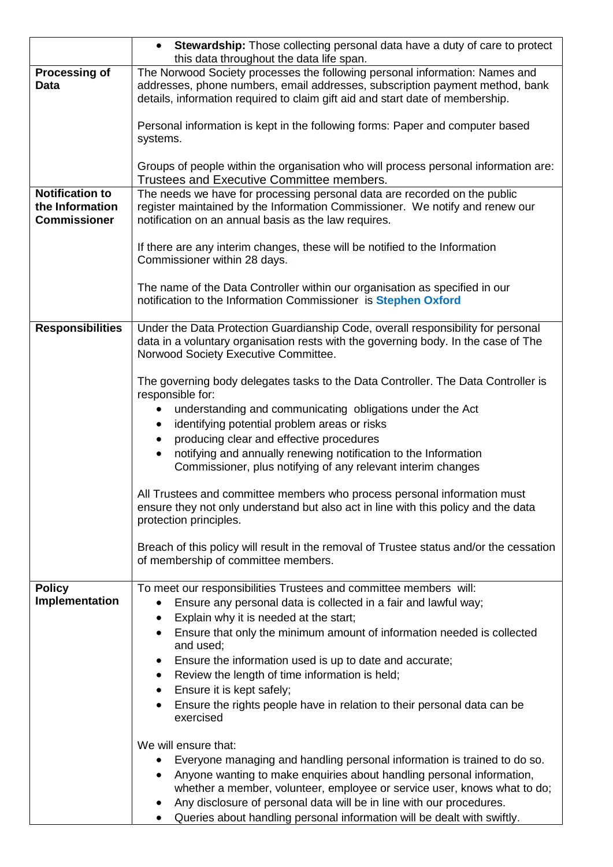|                                                                  | Stewardship: Those collecting personal data have a duty of care to protect<br>$\bullet$<br>this data throughout the data life span.                                                                                                          |
|------------------------------------------------------------------|----------------------------------------------------------------------------------------------------------------------------------------------------------------------------------------------------------------------------------------------|
| <b>Processing of</b><br><b>Data</b>                              | The Norwood Society processes the following personal information: Names and<br>addresses, phone numbers, email addresses, subscription payment method, bank<br>details, information required to claim gift aid and start date of membership. |
|                                                                  | Personal information is kept in the following forms: Paper and computer based<br>systems.                                                                                                                                                    |
|                                                                  | Groups of people within the organisation who will process personal information are:<br>Trustees and Executive Committee members.                                                                                                             |
| <b>Notification to</b><br>the Information<br><b>Commissioner</b> | The needs we have for processing personal data are recorded on the public<br>register maintained by the Information Commissioner. We notify and renew our<br>notification on an annual basis as the law requires.                            |
|                                                                  | If there are any interim changes, these will be notified to the Information<br>Commissioner within 28 days.                                                                                                                                  |
|                                                                  | The name of the Data Controller within our organisation as specified in our<br>notification to the Information Commissioner is Stephen Oxford                                                                                                |
| <b>Responsibilities</b>                                          | Under the Data Protection Guardianship Code, overall responsibility for personal<br>data in a voluntary organisation rests with the governing body. In the case of The<br>Norwood Society Executive Committee.                               |
|                                                                  | The governing body delegates tasks to the Data Controller. The Data Controller is<br>responsible for:                                                                                                                                        |
|                                                                  | understanding and communicating obligations under the Act<br>$\bullet$<br>identifying potential problem areas or risks                                                                                                                       |
|                                                                  | producing clear and effective procedures<br>$\bullet$                                                                                                                                                                                        |
|                                                                  | notifying and annually renewing notification to the Information<br>$\bullet$<br>Commissioner, plus notifying of any relevant interim changes                                                                                                 |
|                                                                  | All Trustees and committee members who process personal information must<br>ensure they not only understand but also act in line with this policy and the data<br>protection principles.                                                     |
|                                                                  | Breach of this policy will result in the removal of Trustee status and/or the cessation<br>of membership of committee members.                                                                                                               |
| <b>Policy</b><br>Implementation                                  | To meet our responsibilities Trustees and committee members will:                                                                                                                                                                            |
|                                                                  | Ensure any personal data is collected in a fair and lawful way;<br>$\bullet$<br>Explain why it is needed at the start;<br>٠                                                                                                                  |
|                                                                  | Ensure that only the minimum amount of information needed is collected<br>and used;                                                                                                                                                          |
|                                                                  | Ensure the information used is up to date and accurate;<br>$\bullet$                                                                                                                                                                         |
|                                                                  | Review the length of time information is held;<br>$\bullet$<br>Ensure it is kept safely;<br>٠                                                                                                                                                |
|                                                                  | Ensure the rights people have in relation to their personal data can be<br>exercised                                                                                                                                                         |
|                                                                  | We will ensure that:                                                                                                                                                                                                                         |
|                                                                  | Everyone managing and handling personal information is trained to do so.<br>٠<br>Anyone wanting to make enquiries about handling personal information,                                                                                       |
|                                                                  | whether a member, volunteer, employee or service user, knows what to do;                                                                                                                                                                     |
|                                                                  | Any disclosure of personal data will be in line with our procedures.<br>Queries about handling personal information will be dealt with swiftly.                                                                                              |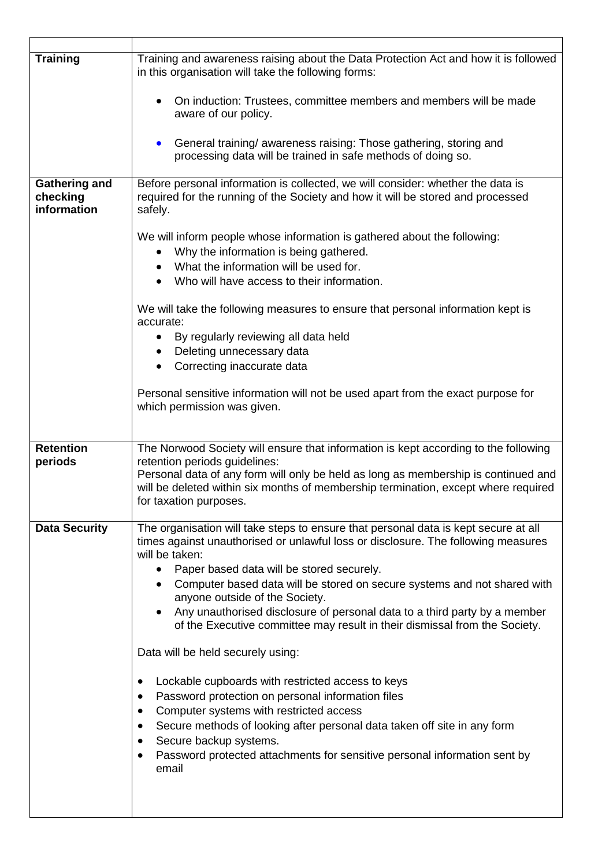| <b>Training</b>                                 | Training and awareness raising about the Data Protection Act and how it is followed<br>in this organisation will take the following forms:                                                                                                                                                               |
|-------------------------------------------------|----------------------------------------------------------------------------------------------------------------------------------------------------------------------------------------------------------------------------------------------------------------------------------------------------------|
|                                                 | On induction: Trustees, committee members and members will be made<br>aware of our policy.                                                                                                                                                                                                               |
|                                                 | General training/ awareness raising: Those gathering, storing and<br>$\bullet$<br>processing data will be trained in safe methods of doing so.                                                                                                                                                           |
| <b>Gathering and</b><br>checking<br>information | Before personal information is collected, we will consider: whether the data is<br>required for the running of the Society and how it will be stored and processed<br>safely.                                                                                                                            |
|                                                 | We will inform people whose information is gathered about the following:<br>Why the information is being gathered.<br>$\bullet$<br>What the information will be used for.<br>٠<br>Who will have access to their information.                                                                             |
|                                                 | We will take the following measures to ensure that personal information kept is<br>accurate:                                                                                                                                                                                                             |
|                                                 | By regularly reviewing all data held<br>$\bullet$<br>Deleting unnecessary data<br>$\bullet$<br>Correcting inaccurate data<br>$\bullet$                                                                                                                                                                   |
|                                                 | Personal sensitive information will not be used apart from the exact purpose for<br>which permission was given.                                                                                                                                                                                          |
| <b>Retention</b>                                | The Norwood Society will ensure that information is kept according to the following                                                                                                                                                                                                                      |
| periods                                         | retention periods guidelines:<br>Personal data of any form will only be held as long as membership is continued and<br>will be deleted within six months of membership termination, except where required<br>for taxation purposes.                                                                      |
| <b>Data Security</b>                            | The organisation will take steps to ensure that personal data is kept secure at all<br>times against unauthorised or unlawful loss or disclosure. The following measures<br>will be taken:                                                                                                               |
|                                                 | Paper based data will be stored securely.<br>Computer based data will be stored on secure systems and not shared with<br>anyone outside of the Society.                                                                                                                                                  |
|                                                 | Any unauthorised disclosure of personal data to a third party by a member<br>of the Executive committee may result in their dismissal from the Society.                                                                                                                                                  |
|                                                 | Data will be held securely using:                                                                                                                                                                                                                                                                        |
|                                                 | Lockable cupboards with restricted access to keys<br>$\bullet$<br>Password protection on personal information files<br>٠<br>Computer systems with restricted access<br>$\bullet$<br>Secure methods of looking after personal data taken off site in any form<br>٠<br>Secure backup systems.<br>$\bullet$ |
|                                                 | Password protected attachments for sensitive personal information sent by<br>$\bullet$<br>email                                                                                                                                                                                                          |